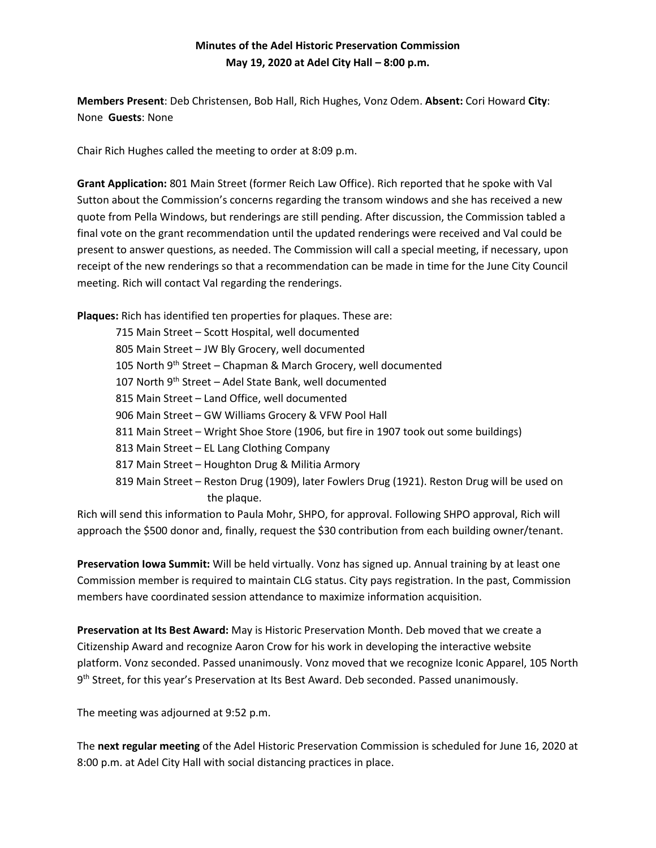## **Minutes of the Adel Historic Preservation Commission May 19, 2020 at Adel City Hall – 8:00 p.m.**

**Members Present**: Deb Christensen, Bob Hall, Rich Hughes, Vonz Odem. **Absent:** Cori Howard **City**: None **Guests**: None

Chair Rich Hughes called the meeting to order at 8:09 p.m.

**Grant Application:** 801 Main Street (former Reich Law Office). Rich reported that he spoke with Val Sutton about the Commission's concerns regarding the transom windows and she has received a new quote from Pella Windows, but renderings are still pending. After discussion, the Commission tabled a final vote on the grant recommendation until the updated renderings were received and Val could be present to answer questions, as needed. The Commission will call a special meeting, if necessary, upon receipt of the new renderings so that a recommendation can be made in time for the June City Council meeting. Rich will contact Val regarding the renderings.

**Plaques:** Rich has identified ten properties for plaques. These are:

| 715 Main Street - Scott Hospital, well documented                                            |
|----------------------------------------------------------------------------------------------|
| 805 Main Street - JW Bly Grocery, well documented                                            |
| 105 North 9 <sup>th</sup> Street – Chapman & March Grocery, well documented                  |
| 107 North 9 <sup>th</sup> Street – Adel State Bank, well documented                          |
| 815 Main Street – Land Office, well documented                                               |
| 906 Main Street - GW Williams Grocery & VFW Pool Hall                                        |
| 811 Main Street - Wright Shoe Store (1906, but fire in 1907 took out some buildings)         |
| 813 Main Street - EL Lang Clothing Company                                                   |
| 817 Main Street – Houghton Drug & Militia Armory                                             |
| 819 Main Street – Reston Drug (1909), later Fowlers Drug (1921). Reston Drug will be used on |
| the plaque.                                                                                  |
|                                                                                              |

Rich will send this information to Paula Mohr, SHPO, for approval. Following SHPO approval, Rich will approach the \$500 donor and, finally, request the \$30 contribution from each building owner/tenant.

**Preservation Iowa Summit:** Will be held virtually. Vonz has signed up. Annual training by at least one Commission member is required to maintain CLG status. City pays registration. In the past, Commission members have coordinated session attendance to maximize information acquisition.

**Preservation at Its Best Award:** May is Historic Preservation Month. Deb moved that we create a Citizenship Award and recognize Aaron Crow for his work in developing the interactive website platform. Vonz seconded. Passed unanimously. Vonz moved that we recognize Iconic Apparel, 105 North 9<sup>th</sup> Street, for this year's Preservation at Its Best Award. Deb seconded. Passed unanimously.

The meeting was adjourned at 9:52 p.m.

The **next regular meeting** of the Adel Historic Preservation Commission is scheduled for June 16, 2020 at 8:00 p.m. at Adel City Hall with social distancing practices in place.